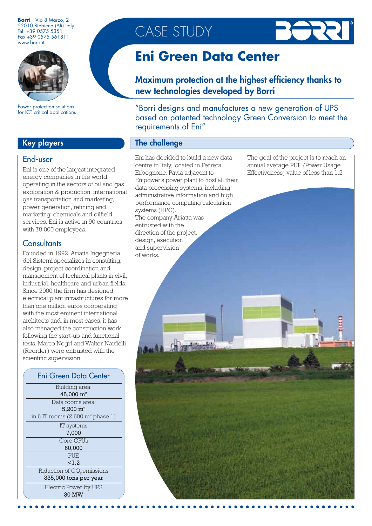**Borri** · Via 8 Marzo, 2 52010 Bibbiena (AR) Italy Tel. +39 0575 5351 Fax +39 0575 561811 www.borri.it



Power protection solutions for ICT critical applications

## Key players

## End-user

Eni is one of the largest integrated energy companies in the world, operating in the sectors of oil and gas exploration & production, international gas transportation and marketing, power generation, refining and marketing, chemicals and oilfield services. Eni is active in 90 countries with 78,000 employees.

## **Consultants**

Founded in 1992, Ariatta Ingegneria dei Sistemi specializes in consulting, design, project coordination and management of technical plants in civil, industrial, healthcare and urban fields. Since 2000 the firm has designed electrical plant infrastructures for more than one million euros cooperating with the most eminent international architects and, in most cases, it has also managed the construction work, following the start-up and functional tests. Marco Negri and Walter Nardelli (Reorder) were entrusted with the scientific supervision.

#### Building area: 45,000 m2 Data rooms area: 5,200 m2 Eni Green Data Center

| in 6 IT rooms $(2,600 \text{ m}^2 \text{ phase 1})$ |
|-----------------------------------------------------|
| IT systems                                          |
| 7,000                                               |
| Core CPUs                                           |
| 60,000                                              |
| PUE                                                 |
| 1.2                                                 |
| Riduction of CO <sub>2</sub> emissions              |
| 335,000 tons per year                               |
| Electric Power by UPS                               |
| 30 MW                                               |

CASE STUDY



# **Eni Green Data Center**

Maximum protection at the highest efficiency thanks to new technologies developed by Borri

"Borri designs and manufactures a new generation of UPS based on patented technology Green Conversion to meet the requirements of Eni"

## The challenge

Eni has decided to build a new data centre in Italy, located in Ferrera Erbognone, Pavia adjacent to Enipower's power plant to host all their data processing systems, including administrative information and high performance computing calculation systems (HPC). The company Ariatta was entrusted with the direction of the project, design, execution and supervision of works.

The goal of the project is to reach an annual average PUE (Power Usage Effectiveness) value of less than 1.2 .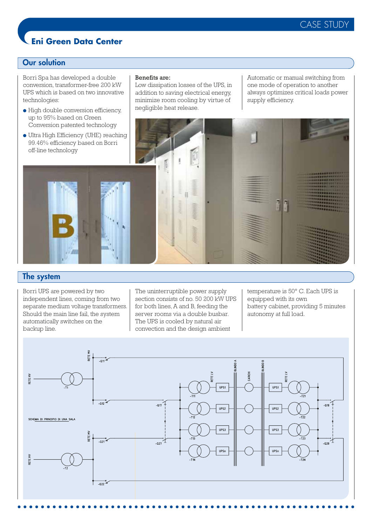## CASE STUDY

## **Eni Green Data Center**

## Our solution

Borri Spa has developed a double conversion, transformer-free 200 kW UPS which is based on two innovative technologies:

● High double conversion efficiency, up to 95% based on Green

#### Benefits are:

Low dissipation losses of the UPS, in addition to saving electrical energy, minimize room cooling by virtue of negligible heat release.

Automatic or manual switching from one mode of operation to another always optimizes critical loads power supply efficiency.



## The system

Borri UPS are powered by two independent lines, coming from two separate medium voltage transformers. Should the main line fail, the system automatically switches on the backup line.

The uninterruptible power supply section consists of no. 50 200 kW UPS for both lines, A and B, feeding the server rooms via a double busbar. The UPS is cooled by natural air convection and the design ambient

temperature is 50° C. Each UPS is equipped with its own battery cabinet, providing 5 minutes autonomy at full load.

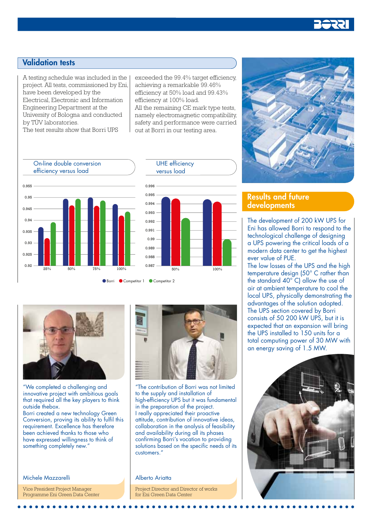

## Validation tests

A testing schedule was included in the project. All tests, commissioned by Eni, have been developed by the Electrical, Electronic and Information Engineering Department at the University of Bologna and conducted by TÜV laboratories.

The test results show that Borri UPS

exceeded the 99.4% target efficiency, achieving a remarkable 99.46% efficiency at 50% load and 99.43% efficiency at 100% load. All the remaining CE mark type tests, namely electromagnetic compatibility,

safety and performance were carried out at Borri in our testing area.



 $\frac{1}{100\%}$   $\frac{1}{50\%}$   $\frac{1}{100\%}$ 

"We completed a challenging and innovative project with ambitious goals that required all the key players to think outside thebox.

Borri created a new technology Green Conversion, proving its ability to fulfil this requirement. Excellence has therefore been achieved thanks to those who have expressed willingness to think of something completely new."

Michele Mazzarelli

Vice President Project Manager Programme Eni Green Data Center



"The contribution of Borri was not limited to the supply and installation of high-efficiency UPS but it was fundamental in the preparation of the project. I really appreciated their proactive attitude, contribution of innovative ideas, collaboration in the analysis of feasibility and availability during all its phases confirming Borri's vocation to providing solutions based on the specific needs of its customers."

Alberto Ariatta

Project Director and Director of works for Eni Green Data Center



## Results and future developments

The development of 200 kW UPS for Eni has allowed Borri to respond to the technological challenge of designing a UPS powering the critical loads of a modern data center to get the highest ever value of PUE.

The low losses of the UPS and the high temperature design (50° C rather than the standard 40° C) allow the use of air at ambient temperature to cool the local UPS, physically demonstrating the advantages of the solution adopted. The UPS section covered by Borri consists of 50 200 kW UPS, but it is expected that an expansion will bring the UPS installed to 150 units for a total computing power of 30 MW with an energy saving of 1.5 MW.